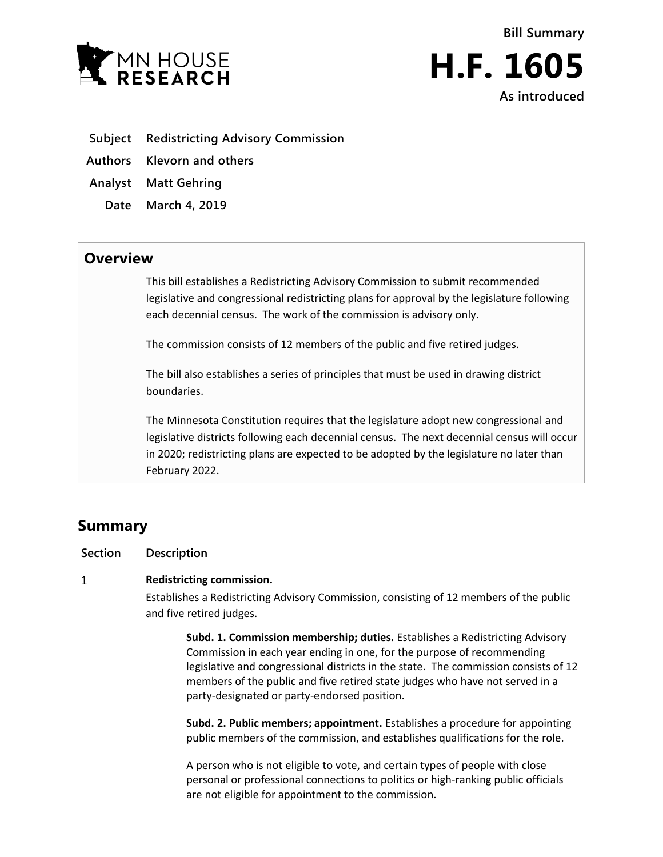



- **Subject Redistricting Advisory Commission**
- **Authors Klevorn and others**
- **Analyst Matt Gehring**
	- **Date March 4, 2019**

## **Overview**

This bill establishes a Redistricting Advisory Commission to submit recommended legislative and congressional redistricting plans for approval by the legislature following each decennial census. The work of the commission is advisory only.

The commission consists of 12 members of the public and five retired judges.

The bill also establishes a series of principles that must be used in drawing district boundaries.

The Minnesota Constitution requires that the legislature adopt new congressional and legislative districts following each decennial census. The next decennial census will occur in 2020; redistricting plans are expected to be adopted by the legislature no later than February 2022.

# **Summary**

 $\mathbf{1}$ 

**Section Description**

### **Redistricting commission.**

Establishes a Redistricting Advisory Commission, consisting of 12 members of the public and five retired judges.

**Subd. 1. Commission membership; duties.** Establishes a Redistricting Advisory Commission in each year ending in one, for the purpose of recommending legislative and congressional districts in the state. The commission consists of 12 members of the public and five retired state judges who have not served in a party-designated or party-endorsed position.

**Subd. 2. Public members; appointment.** Establishes a procedure for appointing public members of the commission, and establishes qualifications for the role.

A person who is not eligible to vote, and certain types of people with close personal or professional connections to politics or high-ranking public officials are not eligible for appointment to the commission.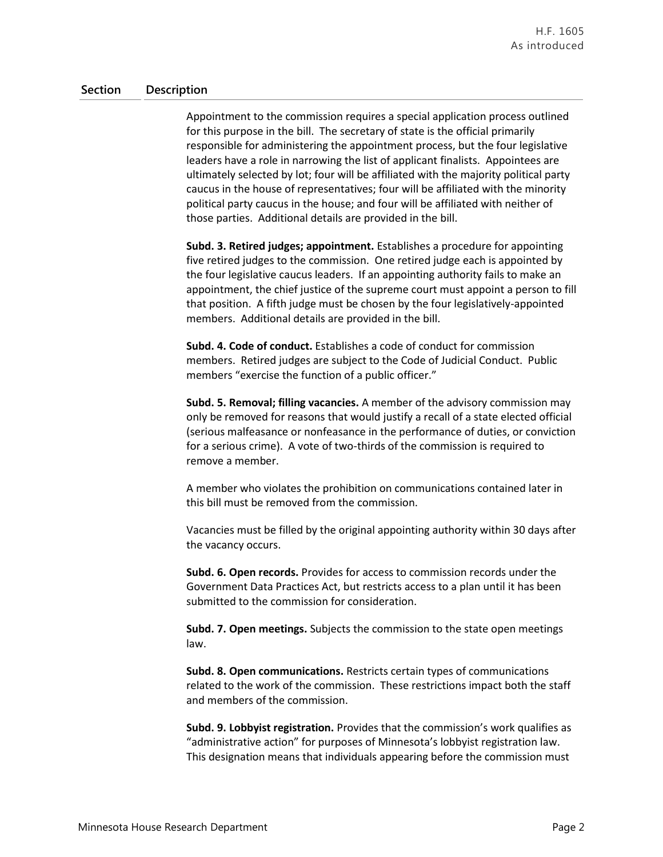Appointment to the commission requires a special application process outlined for this purpose in the bill. The secretary of state is the official primarily responsible for administering the appointment process, but the four legislative leaders have a role in narrowing the list of applicant finalists. Appointees are ultimately selected by lot; four will be affiliated with the majority political party caucus in the house of representatives; four will be affiliated with the minority political party caucus in the house; and four will be affiliated with neither of those parties. Additional details are provided in the bill.

**Subd. 3. Retired judges; appointment.** Establishes a procedure for appointing five retired judges to the commission. One retired judge each is appointed by the four legislative caucus leaders. If an appointing authority fails to make an appointment, the chief justice of the supreme court must appoint a person to fill that position. A fifth judge must be chosen by the four legislatively-appointed members. Additional details are provided in the bill.

**Subd. 4. Code of conduct.** Establishes a code of conduct for commission members. Retired judges are subject to the Code of Judicial Conduct. Public members "exercise the function of a public officer."

**Subd. 5. Removal; filling vacancies.** A member of the advisory commission may only be removed for reasons that would justify a recall of a state elected official (serious malfeasance or nonfeasance in the performance of duties, or conviction for a serious crime). A vote of two-thirds of the commission is required to remove a member.

A member who violates the prohibition on communications contained later in this bill must be removed from the commission.

Vacancies must be filled by the original appointing authority within 30 days after the vacancy occurs.

**Subd. 6. Open records.** Provides for access to commission records under the Government Data Practices Act, but restricts access to a plan until it has been submitted to the commission for consideration.

**Subd. 7. Open meetings.** Subjects the commission to the state open meetings law.

**Subd. 8. Open communications.** Restricts certain types of communications related to the work of the commission. These restrictions impact both the staff and members of the commission.

**Subd. 9. Lobbyist registration.** Provides that the commission's work qualifies as "administrative action" for purposes of Minnesota's lobbyist registration law. This designation means that individuals appearing before the commission must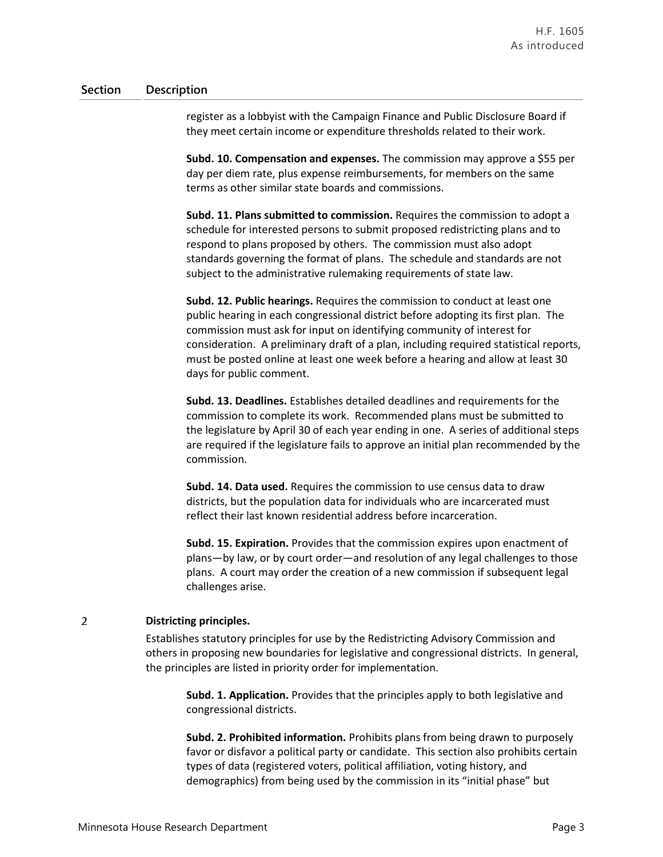register as a lobbyist with the Campaign Finance and Public Disclosure Board if they meet certain income or expenditure thresholds related to their work.

**Subd. 10. Compensation and expenses.** The commission may approve a \$55 per day per diem rate, plus expense reimbursements, for members on the same terms as other similar state boards and commissions.

**Subd. 11. Plans submitted to commission.** Requires the commission to adopt a schedule for interested persons to submit proposed redistricting plans and to respond to plans proposed by others. The commission must also adopt standards governing the format of plans. The schedule and standards are not subject to the administrative rulemaking requirements of state law.

**Subd. 12. Public hearings.** Requires the commission to conduct at least one public hearing in each congressional district before adopting its first plan. The commission must ask for input on identifying community of interest for consideration. A preliminary draft of a plan, including required statistical reports, must be posted online at least one week before a hearing and allow at least 30 days for public comment.

**Subd. 13. Deadlines.** Establishes detailed deadlines and requirements for the commission to complete its work. Recommended plans must be submitted to the legislature by April 30 of each year ending in one. A series of additional steps are required if the legislature fails to approve an initial plan recommended by the commission.

**Subd. 14. Data used.** Requires the commission to use census data to draw districts, but the population data for individuals who are incarcerated must reflect their last known residential address before incarceration.

**Subd. 15. Expiration.** Provides that the commission expires upon enactment of plans—by law, or by court order—and resolution of any legal challenges to those plans. A court may order the creation of a new commission if subsequent legal challenges arise.

#### $\overline{2}$ **Districting principles.**

Establishes statutory principles for use by the Redistricting Advisory Commission and others in proposing new boundaries for legislative and congressional districts. In general, the principles are listed in priority order for implementation.

**Subd. 1. Application.** Provides that the principles apply to both legislative and congressional districts.

**Subd. 2. Prohibited information.** Prohibits plans from being drawn to purposely favor or disfavor a political party or candidate. This section also prohibits certain types of data (registered voters, political affiliation, voting history, and demographics) from being used by the commission in its "initial phase" but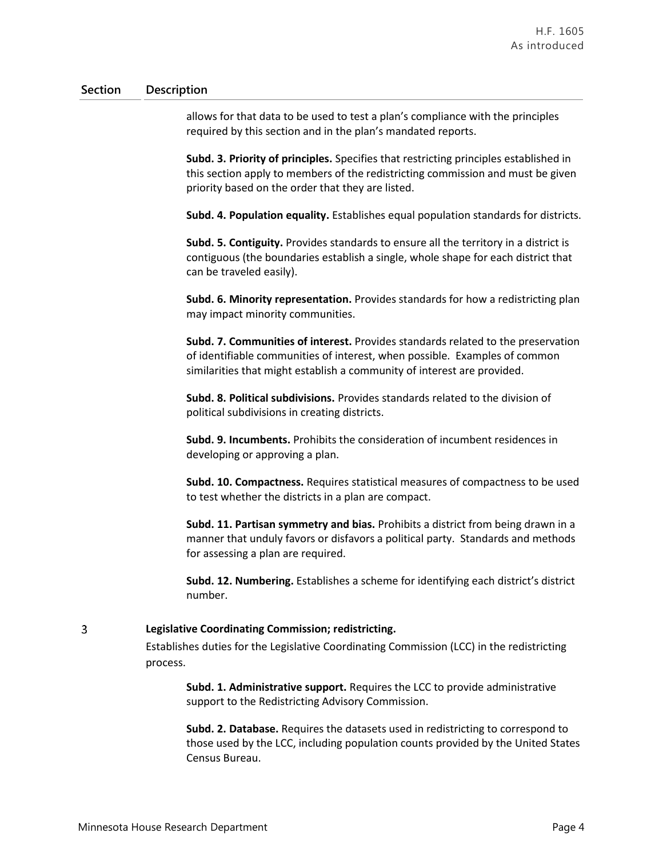allows for that data to be used to test a plan's compliance with the principles required by this section and in the plan's mandated reports.

**Subd. 3. Priority of principles.** Specifies that restricting principles established in this section apply to members of the redistricting commission and must be given priority based on the order that they are listed.

**Subd. 4. Population equality.** Establishes equal population standards for districts.

**Subd. 5. Contiguity.** Provides standards to ensure all the territory in a district is contiguous (the boundaries establish a single, whole shape for each district that can be traveled easily).

**Subd. 6. Minority representation.** Provides standards for how a redistricting plan may impact minority communities.

**Subd. 7. Communities of interest.** Provides standards related to the preservation of identifiable communities of interest, when possible. Examples of common similarities that might establish a community of interest are provided.

**Subd. 8. Political subdivisions.** Provides standards related to the division of political subdivisions in creating districts.

**Subd. 9. Incumbents.** Prohibits the consideration of incumbent residences in developing or approving a plan.

**Subd. 10. Compactness.** Requires statistical measures of compactness to be used to test whether the districts in a plan are compact.

**Subd. 11. Partisan symmetry and bias.** Prohibits a district from being drawn in a manner that unduly favors or disfavors a political party. Standards and methods for assessing a plan are required.

**Subd. 12. Numbering.** Establishes a scheme for identifying each district's district number.

#### 3 **Legislative Coordinating Commission; redistricting.**

Establishes duties for the Legislative Coordinating Commission (LCC) in the redistricting process.

**Subd. 1. Administrative support.** Requires the LCC to provide administrative support to the Redistricting Advisory Commission.

**Subd. 2. Database.** Requires the datasets used in redistricting to correspond to those used by the LCC, including population counts provided by the United States Census Bureau.